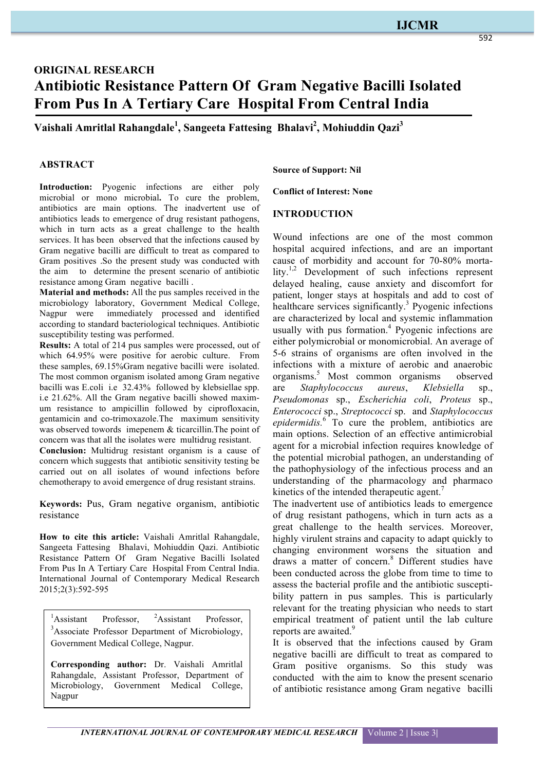## **IJCMR**

# **ORIGINAL RESEARCH Antibiotic Resistance Pattern Of Gram Negative Bacilli Isolated From Pus In A Tertiary Care Hospital From Central India**

**Vaishali Amritlal Rahangdale1 , Sangeeta Fattesing Bhalavi2 , Mohiuddin Qazi3**

#### **ABSTRACT**

**Introduction:** Pyogenic infections are either poly microbial or mono microbial**.** To cure the problem, antibiotics are main options. The inadvertent use of antibiotics leads to emergence of drug resistant pathogens, which in turn acts as a great challenge to the health services. It has been observed that the infections caused by Gram negative bacilli are difficult to treat as compared to Gram positives .So the present study was conducted with the aim to determine the present scenario of antibiotic resistance among Gram negative bacilli .

**Material and methods:** All the pus samples received in the microbiology laboratory, Government Medical College, Nagpur were immediately processed and identified according to standard bacteriological techniques. Antibiotic susceptibility testing was performed.

**Results:** A total of 214 pus samples were processed, out of which 64.95% were positive for aerobic culture. From these samples, 69.15%Gram negative bacilli were isolated. The most common organism isolated among Gram negative bacilli was E.coli i.e 32.43% followed by klebsiellae spp. i.e 21.62%. All the Gram negative bacilli showed maximum resistance to ampicillin followed by ciprofloxacin, gentamicin and co-trimoxazole.The maximum sensitivity was observed towords imepenem & ticarcillin. The point of concern was that all the isolates were multidrug resistant.

**Conclusion:** Multidrug resistant organism is a cause of concern which suggests that antibiotic sensitivity testing be carried out on all isolates of wound infections before chemotherapy to avoid emergence of drug resistant strains.

**Keywords:** Pus, Gram negative organism, antibiotic resistance

**How to cite this article:** Vaishali Amritlal Rahangdale, Sangeeta Fattesing Bhalavi, Mohiuddin Qazi. Antibiotic Resistance Pattern Of Gram Negative Bacilli Isolated From Pus In A Tertiary Care Hospital From Central India. International Journal of Contemporary Medical Research 2015;2(3):592-595

 $\frac{1}{2}$ Assistant Professor, <sup>2</sup> <sup>2</sup>Assistant Professor, <sup>3</sup>Associate Professor Department of Microbiology, Government Medical College, Nagpur.

**Corresponding author:** Dr. Vaishali Amritlal Rahangdale, Assistant Professor, Department of Microbiology, Government Medical College, Nagpur

**Source of Support: Nil**

**Conflict of Interest: None**

#### **INTRODUCTION**

Wound infections are one of the most common hospital acquired infections, and are an important cause of morbidity and account for 70-80% mortality.<sup>1,2</sup> Development of such infections represent delayed healing, cause anxiety and discomfort for patient, longer stays at hospitals and add to cost of healthcare services significantly.<sup>3</sup> Pyogenic infections are characterized by local and systemic inflammation usually with pus formation. $4$  Pyogenic infections are either polymicrobial or monomicrobial. An average of 5-6 strains of organisms are often involved in the infections with a mixture of aerobic and anaerobic organisms.<sup>5</sup> Most common organisms observed are *Staphylococcus aureus*, *Klebsiella* sp., *Pseudomonas* sp., *Escherichia coli*, *Proteus* sp., *Enterococci* sp., *Streptococci* sp. and *Staphylococcus epidermidis.*<sup>6</sup> To cure the problem, antibiotics are main options. Selection of an effective antimicrobial agent for a microbial infection requires knowledge of the potential microbial pathogen, an understanding of the pathophysiology of the infectious process and an understanding of the pharmacology and pharmaco kinetics of the intended therapeutic agent.<sup>7</sup>

The inadvertent use of antibiotics leads to emergence of drug resistant pathogens, which in turn acts as a great challenge to the health services. Moreover, highly virulent strains and capacity to adapt quickly to changing environment worsens the situation and draws a matter of concern.<sup>8</sup> Different studies have been conducted across the globe from time to time to assess the bacterial profile and the antibiotic susceptibility pattern in pus samples. This is particularly relevant for the treating physician who needs to start empirical treatment of patient until the lab culture reports are awaited.<sup>9</sup>

It is observed that the infections caused by Gram negative bacilli are difficult to treat as compared to Gram positive organisms. So this study was conducted with the aim to know the present scenario of antibiotic resistance among Gram negative bacilli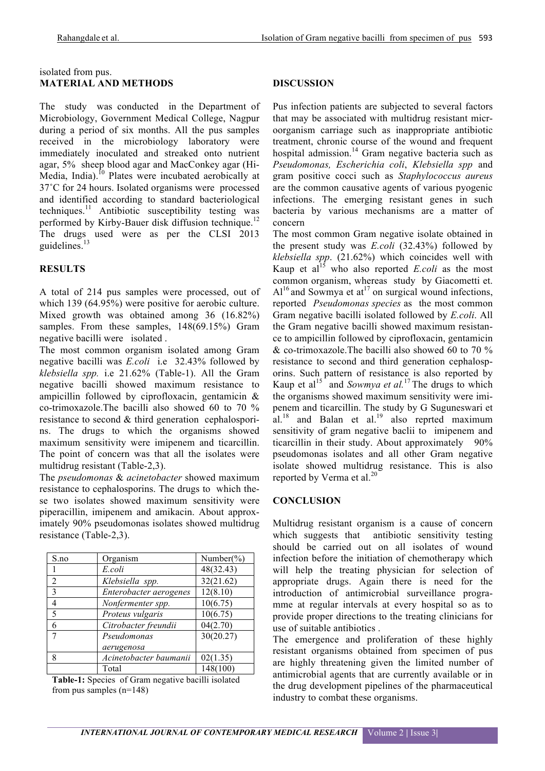#### isolated from pus. **MATERIAL AND METHODS**

The study was conducted in the Department of Microbiology, Government Medical College, Nagpur during a period of six months. All the pus samples received in the microbiology laboratory were immediately inoculated and streaked onto nutrient agar, 5% sheep blood agar and MacConkey agar (Hi-Media, India).<sup>10</sup> Plates were incubated aerobically at 37˚C for 24 hours. Isolated organisms were processed and identified according to standard bacteriological techniques. <sup>11</sup> Antibiotic susceptibility testing was performed by Kirby-Bauer disk diffusion technique.<sup>12</sup> The drugs used were as per the CLSI 2013 guidelines.<sup>13</sup>

## **RESULTS**

A total of 214 pus samples were processed, out of which 139 (64.95%) were positive for aerobic culture. Mixed growth was obtained among 36 (16.82%) samples. From these samples,  $148(69.15%)$  Gram negative bacilli were isolated .

The most common organism isolated among Gram negative bacilli was *E.coli* i.e 32.43% followed by *klebsiella spp.* i.e 21.62% (Table-1). All the Gram negative bacilli showed maximum resistance to ampicillin followed by ciprofloxacin, gentamicin & co-trimoxazole.The bacilli also showed 60 to 70 % resistance to second & third generation cephalosporins. The drugs to which the organisms showed maximum sensitivity were imipenem and ticarcillin. The point of concern was that all the isolates were multidrug resistant (Table-2,3).

The *pseudomonas* & *acinetobacter* showed maximum resistance to cephalosporins. The drugs to which these two isolates showed maximum sensitivity were piperacillin, imipenem and amikacin. About approximately 90% pseudomonas isolates showed multidrug resistance (Table-2,3).

| S.no           | Organism               | Number( $\%$ ) |
|----------------|------------------------|----------------|
|                | E.coli                 | 48(32.43)      |
| $\overline{2}$ | Klebsiella spp.        | 32(21.62)      |
| $\mathcal{E}$  | Enterobacter aerogenes | 12(8.10)       |
| 4              | Nonfermenter spp.      | 10(6.75)       |
| 5              | Proteus vulgaris       | 10(6.75)       |
| 6              | Citrobacter freundii   | 04(2.70)       |
| 7              | Pseudomonas            | 30(20.27)      |
|                | aerugenosa             |                |
| 8              | Acinetobacter baumanii | 02(1.35)       |
|                | Total                  | 148(100)       |

**Table-1:** Species of Gram negative bacilli isolated from pus samples (n=148)

#### **DISCUSSION**

Pus infection patients are subjected to several factors that may be associated with multidrug resistant microorganism carriage such as inappropriate antibiotic treatment, chronic course of the wound and frequent hospital admission.<sup>14</sup> Gram negative bacteria such as *Pseudomonas, Escherichia coli*, *Klebsiella spp* and gram positive cocci such as *Staphylococcus aureus* are the common causative agents of various pyogenic infections. The emerging resistant genes in such bacteria by various mechanisms are a matter of concern

The most common Gram negative isolate obtained in the present study was *E.coli* (32.43%) followed by *klebsiella spp*. (21.62%) which coincides well with Kaup et al<sup>15</sup> who also reported *E.coli* as the most common organism, whereas study by Giacometti et.  $Al<sup>16</sup>$  and Sowmya et at<sup>17</sup> on surgical wound infections, reported *Pseudomonas species* as the most common Gram negative bacilli isolated followed by *E.coli*. All the Gram negative bacilli showed maximum resistance to ampicillin followed by ciprofloxacin, gentamicin & co-trimoxazole.The bacilli also showed 60 to 70 % resistance to second and third generation cephalosporins. Such pattern of resistance is also reported by Kaup et al<sup>15</sup> and *Sowmya et al.*<sup>17</sup> The drugs to which the organisms showed maximum sensitivity were imipenem and ticarcillin. The study by G Suguneswari et al.<sup>18</sup> and Balan et al.<sup>19</sup> also reprted maximum sensitivity of gram negative baclii to imipenem and ticarcillin in their study. About approximately 90% pseudomonas isolates and all other Gram negative isolate showed multidrug resistance. This is also reported by Verma et al.<sup>20</sup>

### **CONCLUSION**

Multidrug resistant organism is a cause of concern which suggests that antibiotic sensitivity testing should be carried out on all isolates of wound infection before the initiation of chemotherapy which will help the treating physician for selection of appropriate drugs. Again there is need for the introduction of antimicrobial surveillance programme at regular intervals at every hospital so as to provide proper directions to the treating clinicians for use of suitable antibiotics .

The emergence and proliferation of these highly resistant organisms obtained from specimen of pus are highly threatening given the limited number of antimicrobial agents that are currently available or in the drug development pipelines of the pharmaceutical industry to combat these organisms.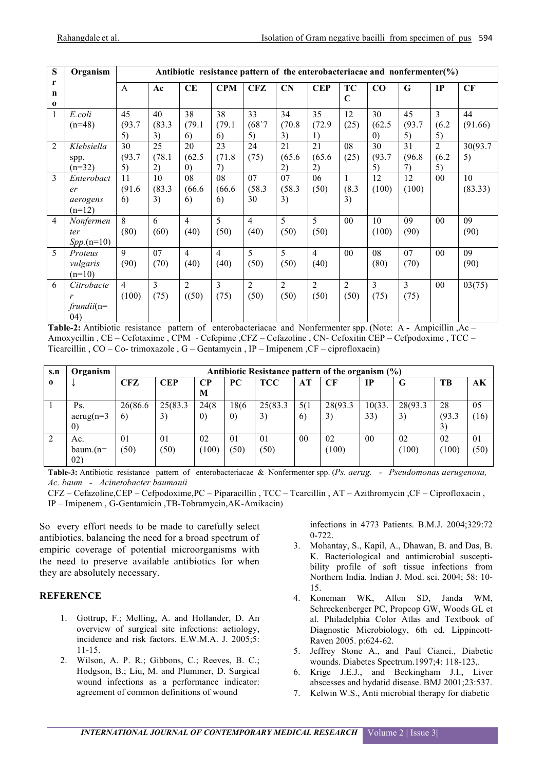| S                            | Organism                                 | Antibiotic resistance pattern of the enterobacteriacae and nonfermenter( $\%$ ) |                    |                                   |                        |                        |                        |                                  |                          |                                   |                    |                               |               |
|------------------------------|------------------------------------------|---------------------------------------------------------------------------------|--------------------|-----------------------------------|------------------------|------------------------|------------------------|----------------------------------|--------------------------|-----------------------------------|--------------------|-------------------------------|---------------|
| r<br>$\mathbf n$<br>$\bf{0}$ |                                          | $\mathsf{A}$                                                                    | Ac                 | CE                                | <b>CPM</b>             | CFZ                    | CN                     | <b>CEP</b>                       | <b>TC</b><br>$\mathbf C$ | CO                                | G                  | IP                            | CF            |
| 1                            | E.coli<br>$(n=48)$                       | 45<br>(93.7)<br>5)                                                              | 40<br>(83.3)<br>3) | 38<br>(79.1)<br>6)                | 38<br>(79.1)<br>6)     | 33<br>(68)7<br>5)      | 34<br>(70.8)<br>3)     | 35<br>(72.9)<br>$\left  \right $ | 12<br>(25)               | 30<br>(62.5)<br>$\left( 0\right)$ | 45<br>(93.7)<br>5) | $\mathbf{3}$<br>(6.2)<br>5)   | 44<br>(91.66) |
| $\mathfrak{D}$               | Klebsiella<br>spp.<br>$(n=32)$           | 30<br>(93.7)<br>5)                                                              | 25<br>(78.1)<br>2) | 20<br>(62.5)<br>$\left( 0\right)$ | 23<br>(71.8)<br>7)     | 24<br>(75)             | 21<br>(65.6)<br>2)     | 21<br>(65.6)<br>2)               | 08<br>(25)               | 30<br>(93.7)<br>5)                | 31<br>(96.8)<br>7) | $\overline{2}$<br>(6.2)<br>5) | 30(93.7<br>5) |
| 3                            | Enterobact<br>er<br>aerogens<br>$(n=12)$ | 11<br>(91.6)<br>6)                                                              | 10<br>(83.3)<br>3) | 08<br>(66.6)<br>6)                | 08<br>(66.6)<br>6)     | 07<br>(58.3)<br>30     | 07<br>(58.3)<br>3)     | 06<br>(50)                       | (8.3)<br>3)              | 12<br>(100)                       | 12<br>(100)        | 0 <sub>0</sub>                | 10<br>(83.33) |
| $\overline{4}$               | Nonfermen<br>ter<br>$Spp.(n=10)$         | 8<br>(80)                                                                       | 6<br>(60)          | $\overline{4}$<br>(40)            | 5<br>(50)              | $\overline{4}$<br>(40) | 5<br>(50)              | 5<br>(50)                        | 00                       | 10<br>(100)                       | 09<br>(90)         | $00\,$                        | 09<br>(90)    |
| 5                            | Proteus<br>vulgaris<br>$(n=10)$          | $\mathbf Q$<br>(90)                                                             | 07<br>(70)         | $\overline{4}$<br>(40)            | $\overline{4}$<br>(40) | 5<br>(50)              | 5<br>(50)              | $\overline{4}$<br>(40)           | 0 <sub>0</sub>           | 08<br>(80)                        | 07<br>(70)         | 0 <sub>0</sub>                | 09<br>(90)    |
| 6                            | Citrobacte<br>r<br>$frundii(n=$<br>(04)  | $\overline{4}$<br>(100)                                                         | 3<br>(75)          | $\overline{2}$<br>((50)           | 3<br>(75)              | $\overline{2}$<br>(50) | $\overline{2}$<br>(50) | $\overline{2}$<br>(50)           | 2<br>(50)                | 3<br>(75)                         | 3<br>(75)          | 0 <sub>0</sub>                | 03(75)        |

**Table-2:** Antibiotic resistance pattern of enterobacteriacae and Nonfermenter spp. (Note: A **-** Ampicillin ,Ac – Amoxycillin , CE – Cefotaxime , CPM - Cefepime ,CFZ – Cefazoline , CN- Cefoxitin CEP – Cefpodoxime , TCC – Ticarcillin , CO – Co- trimoxazole , G – Gentamycin , IP – Imipenem ,CF – ciprofloxacin)

| s.n      | Organism          | Antibiotic Resistance pattern of the organism $(\%)$ |            |                   |                   |            |     |          |        |         |           |      |
|----------|-------------------|------------------------------------------------------|------------|-------------------|-------------------|------------|-----|----------|--------|---------|-----------|------|
| $\Omega$ |                   | <b>CFZ</b>                                           | <b>CEP</b> | $\bf CP$<br>M     | PС                | <b>TCC</b> | AT  | CF       | IP     | G       | <b>TB</b> | AK   |
|          |                   |                                                      |            |                   |                   |            |     |          |        |         |           |      |
|          | Ps.               | 26(86.6)                                             | 25(83.3)   | 24(8)             | 18(6              | 25(83.3)   | 5(1 | 28(93.3) | 10(33. | 28(93.3 | 28        | 05   |
|          | $a$ erug(n=3      | 6)                                                   | 3)         | $\left( 0\right)$ | $\left( 0\right)$ | 3)         | 6)  | 3)       | 33)    | 3)      | (93.3)    | (16) |
|          | $\left( 0\right)$ |                                                      |            |                   |                   |            |     |          |        |         | 3)        |      |
|          | Ac.               | 01                                                   | 01         | 02                | 01                | 01         | 00  | 02       | $00\,$ | 02      | 02        | 01   |
|          | baum. $(n=$       | (50)                                                 | (50)       | (100)             | (50)              | (50)       |     | (100)    |        | (100)   | (100)     | (50) |
|          | 02)               |                                                      |            |                   |                   |            |     |          |        |         |           |      |

**Table-3:** Antibiotic resistance pattern of enterobacteriacae & Nonfermenter spp. (*Ps. aerug. - Pseudomonas aerugenosa, Ac. baum - Acinetobacter baumanii*

CFZ – Cefazoline,CEP – Cefpodoxime,PC – Piparacillin , TCC – Tcarcillin , AT – Azithromycin ,CF – Ciprofloxacin , IP – Imipenem , G-Gentamicin ,TB-Tobramycin,AK-Amikacin)

So every effort needs to be made to carefully select antibiotics, balancing the need for a broad spectrum of empiric coverage of potential microorganisms with the need to preserve available antibiotics for when they are absolutely necessary.

#### **REFERENCE**

- 1. Gottrup, F.; Melling, A. and Hollander, D. An overview of surgical site infections: aetiology, incidence and risk factors. E.W.M.A. J. 2005;5: 11-15.
- 2. Wilson, A. P. R.; Gibbons, C.; Reeves, B. C.; Hodgson, B.; Liu, M. and Plummer, D. Surgical wound infections as a performance indicator: agreement of common definitions of wound

infections in 4773 Patients. B.M.J. 2004;329:72 0-722.

- 3. Mohantay, S., Kapil, A., Dhawan, B. and Das, B. K. Bacteriological and antimicrobial susceptibility profile of soft tissue infections from Northern India. Indian J. Mod. sci. 2004; 58: 10- 15.
- 4. Koneman WK, Allen SD, Janda WM, Schreckenberger PC, Propcop GW, Woods GL et al. Philadelphia Color Atlas and Textbook of Diagnostic Microbiology, 6th ed. Lippincott-Raven 2005. p:624-62.
- 5. Jeffrey Stone A., and Paul Cianci., Diabetic wounds. Diabetes Spectrum.1997;4: 118-123,.
- 6. Krige J.E.J., and Beckingham J.I., Liver abscesses and hydatid disease. BMJ 2001;23:537.
- 7. Kelwin W.S., Anti microbial therapy for diabetic